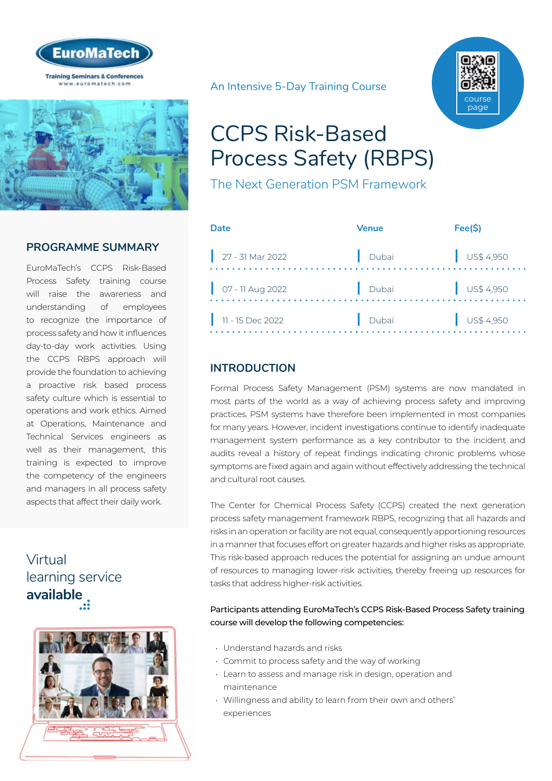



#### **PROGRAMME SUMMARY**

EuroMaTech's CCPS Risk-Based Process Safety training course will raise the awareness and understanding of employees to recognize the importance of process safety and how it influences day-to-day work activities. Using the CCPS RBPS approach will provide the foundation to achieving a proactive risk based process safety culture which is essential to operations and work ethics. Aimed at Operations, Maintenance and Technical Services engineers as well as their management, this training is expected to improve the competency of the engineers and managers in all process safety aspects that affect their daily work.

## Virtual [learning service](https://www.euromatech.com/seminars/ccps-risk-based-process-safety-rbps-1/)  **available**



An Intensive 5-Day Training Course



# CCPS Risk-Based Process Safety (RBPS)

The Next Generation PSM Framework

| Date                                                       | Venue | Fee(S)               |
|------------------------------------------------------------|-------|----------------------|
| $\Big $ 27 - 31 Mar 2022                                   | Dubai | $\bigcup$ US\$ 4,950 |
| $\begin{array}{ c c } \hline \end{array}$ 07 - 11 Aug 2022 | Dubai | $\bigcup$ US\$ 4,950 |
| $\vert$ 11 - 15 Dec 2022                                   | Dubai | $\bigcup$ US\$ 4,950 |

## **INTRODUCTION**

Formal Process Safety Management (PSM) systems are now mandated in most parts of the world as a way of achieving process safety and improving practices. PSM systems have therefore been implemented in most companies for many years. However, incident investigations continue to identify inadequate management system performance as a key contributor to the incident and audits reveal a history of repeat findings indicating chronic problems whose symptoms are fixed again and again without effectively addressing the technical and cultural root causes.

The Center for Chemical Process Safety (CCPS) created the next generation process safety management framework RBPS, recognizing that all hazards and risks in an operation or facility are not equal, consequently apportioning resources in a manner that focuses effort on greater hazards and higher risks as appropriate. This risk-based approach reduces the potential for assigning an undue amount of resources to managing lower-risk activities, thereby freeing up resources for tasks that address higher-risk activities.

#### Participants attending EuroMaTech's CCPS Risk-Based Process Safety training course will develop the following competencies:

- Understand hazards and risks
- Commit to process safety and the way of working
- Learn to assess and manage risk in design, operation and maintenance
- Willingness and ability to learn from their own and others' experiences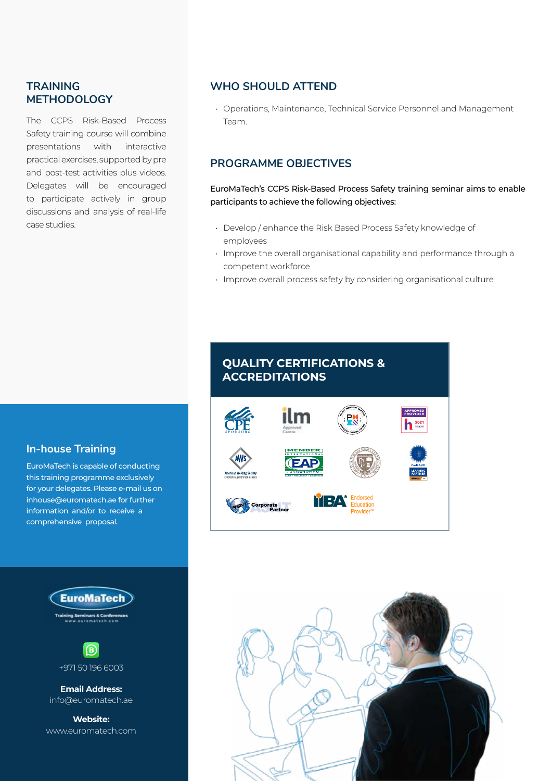#### **TRAINING METHODOLOGY**

The CCPS Risk-Based Process Safety training course will combine presentations with interactive practical exercises, supported by pre and post-test activities plus videos. Delegates will be encouraged to participate actively in group discussions and analysis of real-life case studies.

#### **WHO SHOULD ATTEND**

• Operations, Maintenance, Technical Service Personnel and Management Team.

## **PROGRAMME OBJECTIVES**

EuroMaTech's CCPS Risk-Based Process Safety training seminar aims to enable participants to achieve the following objectives:

- Develop / enhance the Risk Based Process Safety knowledge of employees
- Improve the overall organisational capability and performance through a competent workforce
- Improve overall process safety by considering organisational culture

### **In-house Training**

EuroMaTech is capable of conducting this training programme exclusively for your delegates. Please e-mail us on inhouse@euromatech.ae for further information and/or to receive a comprehensive proposal.





**Email Address:** info@euromatech.ae

**Website:** www.euromatech.com

## **QUALITY CERTIFICATIONS & ACCREDITATIONS**



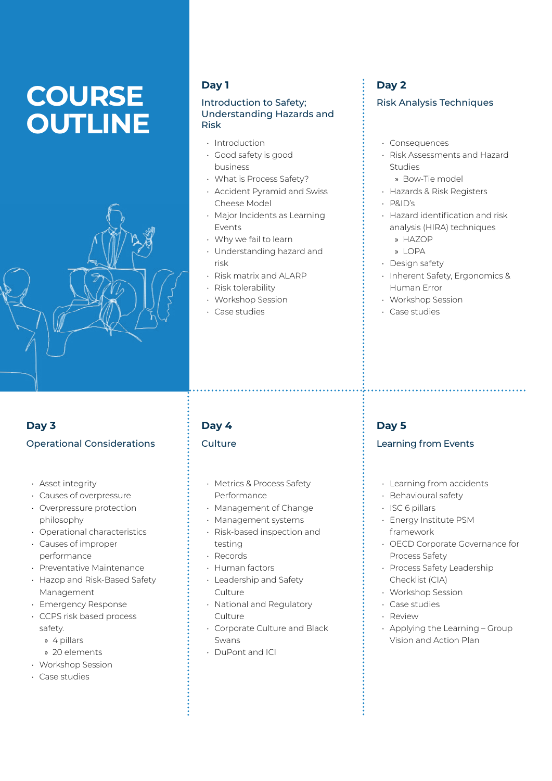# **COURSE OUTLINE**



## **Day 1**

#### Introduction to Safety; Understanding Hazards and Risk

- Introduction
- Good safety is good business
- What is Process Safety?
- Accident Pyramid and Swiss Cheese Model
- Major Incidents as Learning Events
- Why we fail to learn
- Understanding hazard and risk
- Risk matrix and ALARP
- Risk tolerability
- Workshop Session
- Case studies

## **Day 2**

#### Risk Analysis Techniques

- Consequences
- Risk Assessments and Hazard Studies
- » Bow-Tie model
- Hazards & Risk Registers
- P&ID's
- Hazard identification and risk analysis (HIRA) techniques
	- » HAZOP
	- » LOPA
- Design safety
- Inherent Safety, Ergonomics & Human Error
- Workshop Session
- Case studies

## **Day 3** Operational Considerations

- Asset integrity
- Causes of overpressure
- Overpressure protection philosophy
- Operational characteristics
- Causes of improper performance
- Preventative Maintenance
- Hazop and Risk-Based Safety Management
- Emergency Response
- CCPS risk based process safety.
	- » 4 pillars
	- » 20 elements
- Workshop Session
- Case studies

## **Day 4**

#### Culture

- Metrics & Process Safety Performance
- Management of Change
- Management systems
- Risk-based inspection and testing
- Records
- Human factors
- Leadership and Safety **Culture**
- National and Regulatory Culture
- Corporate Culture and Black Swans
- DuPont and ICI

## **Day 5**

#### Learning from Events

• Learning from accidents

- Behavioural safety
- ISC 6 pillars
- Energy Institute PSM framework
- OECD Corporate Governance for Process Safety
- Process Safety Leadership Checklist (CIA)
- Workshop Session
- Case studies
- Review
- Applying the Learning Group Vision and Action Plan